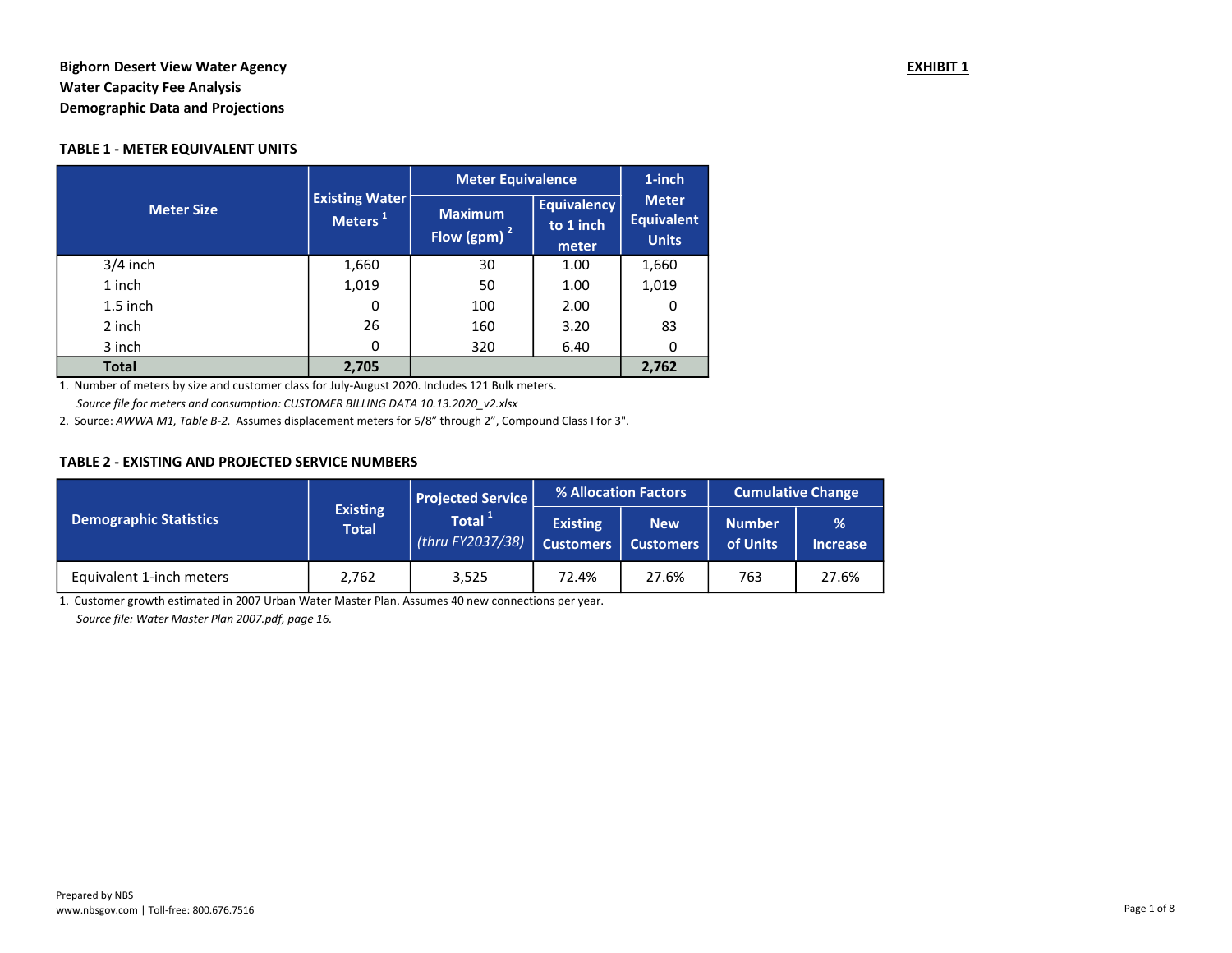# Bighorn Desert View Water Agency **EXHIBIT 1** and the set of the set of the set of the set of the set of the set of the set of the set of the set of the set of the set of the set of the set of the set of the set of the set Water Capacity Fee Analysis Demographic Data and Projections

## TABLE 1 - METER EQUIVALENT UNITS

|                   |                                              | <b>Meter Equivalence</b>         | $1$ -inch                                |                                                   |
|-------------------|----------------------------------------------|----------------------------------|------------------------------------------|---------------------------------------------------|
| <b>Meter Size</b> | <b>Existing Water</b><br>Meters <sup>1</sup> | <b>Maximum</b><br>Flow (gpm) $2$ | <b>Equivalency</b><br>to 1 inch<br>meter | <b>Meter</b><br><b>Equivalent</b><br><b>Units</b> |
| $3/4$ inch        | 1,660                                        | 30                               | 1.00                                     | 1,660                                             |
| 1 inch            | 1,019                                        | 50                               | 1.00                                     | 1,019                                             |
| $1.5$ inch        | 0                                            | 100                              | 2.00                                     | 0                                                 |
| 2 inch            | 26                                           | 160                              | 3.20                                     | 83                                                |
| 3 inch            | 0                                            | 320                              | 6.40                                     | 0                                                 |
| <b>Total</b>      | 2,705                                        |                                  |                                          | 2,762                                             |

1. Number of meters by size and customer class for July-August 2020. Includes 121 Bulk meters. Source file for meters and consumption: CUSTOMER BILLING DATA 10.13.2020\_v2.xlsx

2. Source: AWWA M1, Table B-2. Assumes displacement meters for 5/8" through 2", Compound Class I for 3".

#### TABLE 2 - EXISTING AND PROJECTED SERVICE NUMBERS

|                               |                                 | Projected Service             |                                     | % Allocation Factors      | <b>Cumulative Change</b>  |                      |  |
|-------------------------------|---------------------------------|-------------------------------|-------------------------------------|---------------------------|---------------------------|----------------------|--|
| <b>Demographic Statistics</b> | <b>Existing</b><br><b>Total</b> | Total $1$<br>(thru FY2037/38) | <b>Existing</b><br><b>Customers</b> | <b>New</b><br>  Customers | <b>Number</b><br>of Units | %<br><b>Increase</b> |  |
| Equivalent 1-inch meters      | 2,762                           | 3,525                         | 72.4%                               | 27.6%                     | 763                       | 27.6%                |  |

1. Customer growth estimated in 2007 Urban Water Master Plan. Assumes 40 new connections per year. Source file: Water Master Plan 2007.pdf, page 16.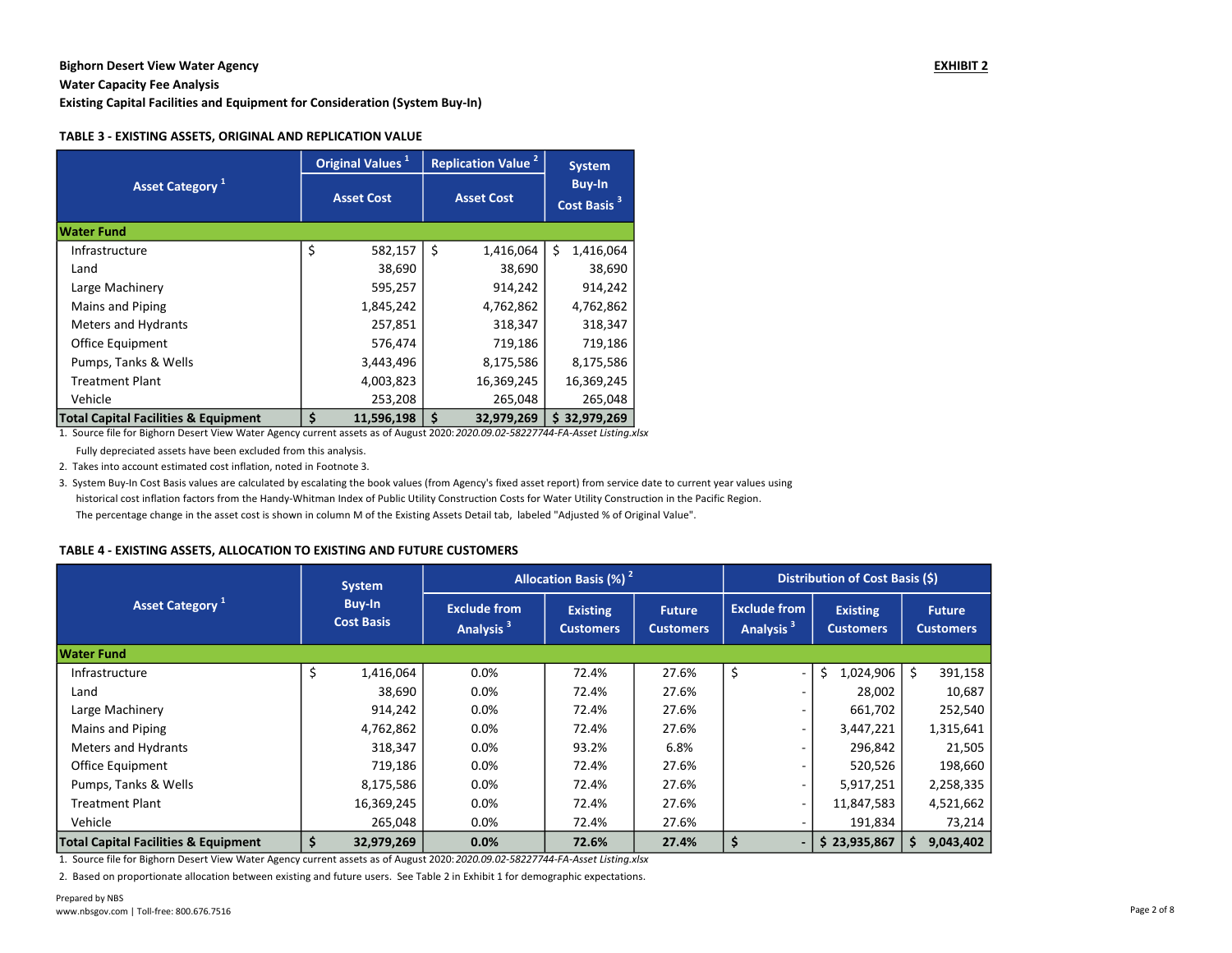Water Capacity Fee Analysis

Existing Capital Facilities and Equipment for Consideration (System Buy-In)

#### TABLE 3 - EXISTING ASSETS, ORIGINAL AND REPLICATION VALUE

|                                                 |                   | Original Values <sup>1</sup> | <b>Replication Value<sup>2</sup></b> |                   |                                          | <b>System</b> |  |
|-------------------------------------------------|-------------------|------------------------------|--------------------------------------|-------------------|------------------------------------------|---------------|--|
| <b>Asset Category</b> <sup>1</sup>              | <b>Asset Cost</b> |                              |                                      | <b>Asset Cost</b> | <b>Buy-In</b><br>Cost Basis <sup>3</sup> |               |  |
| <b>Water Fund</b>                               |                   |                              |                                      |                   |                                          |               |  |
| Infrastructure                                  | \$                | 582,157                      | Ś                                    | 1,416,064         | Ś                                        | 1,416,064     |  |
| Land                                            |                   | 38,690                       |                                      | 38,690            |                                          | 38,690        |  |
| Large Machinery                                 |                   | 595,257                      |                                      | 914,242           |                                          | 914,242       |  |
| Mains and Piping                                |                   | 1,845,242                    |                                      | 4,762,862         |                                          | 4,762,862     |  |
| <b>Meters and Hydrants</b>                      |                   | 257,851                      |                                      | 318,347           |                                          | 318,347       |  |
| <b>Office Equipment</b>                         |                   | 576,474                      |                                      | 719,186           |                                          | 719,186       |  |
| Pumps, Tanks & Wells                            |                   | 3,443,496                    |                                      | 8,175,586         |                                          | 8,175,586     |  |
| <b>Treatment Plant</b>                          |                   | 4,003,823                    |                                      | 16,369,245        |                                          | 16,369,245    |  |
| Vehicle                                         |                   | 253,208                      |                                      | 265,048           |                                          | 265,048       |  |
| <b>Total Capital Facilities &amp; Equipment</b> | Ś                 | 11,596,198                   | \$                                   | 32,979,269        |                                          | 32,979,269    |  |

1. Source file for Bighorn Desert View Water Agency current assets as of August 2020: 2020.09.02-58227744-FA-Asset Listing.xlsx

Fully depreciated assets have been excluded from this analysis.

2. Takes into account estimated cost inflation, noted in Footnote 3.

3. System Buy-In Cost Basis values are calculated by escalating the book values (from Agency's fixed asset report) from service date to current year values using historical cost inflation factors from the Handy-Whitman Index of Public Utility Construction Costs for Water Utility Construction in the Pacific Region. The percentage change in the asset cost is shown in column M of the Existing Assets Detail tab, labeled "Adjusted % of Original Value".

#### TABLE 4 - EXISTING ASSETS, ALLOCATION TO EXISTING AND FUTURE CUSTOMERS

|                                                 | <b>System</b>                      |                                              | Allocation Basis (%) <sup>2</sup>   |                                   | Distribution of Cost Basis (\$)              |                                     |                                   |  |  |
|-------------------------------------------------|------------------------------------|----------------------------------------------|-------------------------------------|-----------------------------------|----------------------------------------------|-------------------------------------|-----------------------------------|--|--|
| Asset Category <sup>1</sup>                     | <b>Buy-In</b><br><b>Cost Basis</b> | <b>Exclude from</b><br>Analysis <sup>3</sup> | <b>Existing</b><br><b>Customers</b> | <b>Future</b><br><b>Customers</b> | <b>Exclude from</b><br>Analysis <sup>3</sup> | <b>Existing</b><br><b>Customers</b> | <b>Future</b><br><b>Customers</b> |  |  |
| Water Fund                                      |                                    |                                              |                                     |                                   |                                              |                                     |                                   |  |  |
| Infrastructure                                  | \$<br>1,416,064                    | 0.0%                                         | 72.4%                               | 27.6%                             | \$                                           | \$<br>1,024,906                     | \$<br>391,158                     |  |  |
| Land                                            | 38,690                             | 0.0%                                         | 72.4%                               | 27.6%                             |                                              | 28,002                              | 10,687                            |  |  |
| Large Machinery                                 | 914,242                            | 0.0%                                         | 72.4%                               | 27.6%                             |                                              | 661,702                             | 252,540                           |  |  |
| Mains and Piping                                | 4,762,862                          | 0.0%                                         | 72.4%                               | 27.6%                             |                                              | 3,447,221                           | 1,315,641                         |  |  |
| Meters and Hydrants                             | 318,347                            | 0.0%                                         | 93.2%                               | 6.8%                              |                                              | 296,842                             | 21,505                            |  |  |
| Office Equipment                                | 719,186                            | 0.0%                                         | 72.4%                               | 27.6%                             |                                              | 520,526                             | 198,660                           |  |  |
| Pumps, Tanks & Wells                            | 8,175,586                          | 0.0%                                         | 72.4%                               | 27.6%                             |                                              | 5,917,251                           | 2,258,335                         |  |  |
| <b>Treatment Plant</b>                          | 16,369,245                         | 0.0%                                         | 72.4%                               | 27.6%                             |                                              | 11,847,583                          | 4,521,662                         |  |  |
| Vehicle                                         | 265,048                            | 0.0%                                         | 72.4%                               | 27.6%                             |                                              | 191,834                             | 73,214                            |  |  |
| <b>Total Capital Facilities &amp; Equipment</b> | \$<br>32,979,269                   | 0.0%                                         | 72.6%                               | 27.4%                             | \$<br>$\overline{\phantom{a}}$               | \$23,935,867                        | 9,043,402<br>S.                   |  |  |

1. Source file for Bighorn Desert View Water Agency current assets as of August 2020: 2020.09.02-58227744-FA-Asset Listing.xlsx

2. Based on proportionate allocation between existing and future users. See Table 2 in Exhibit 1 for demographic expectations.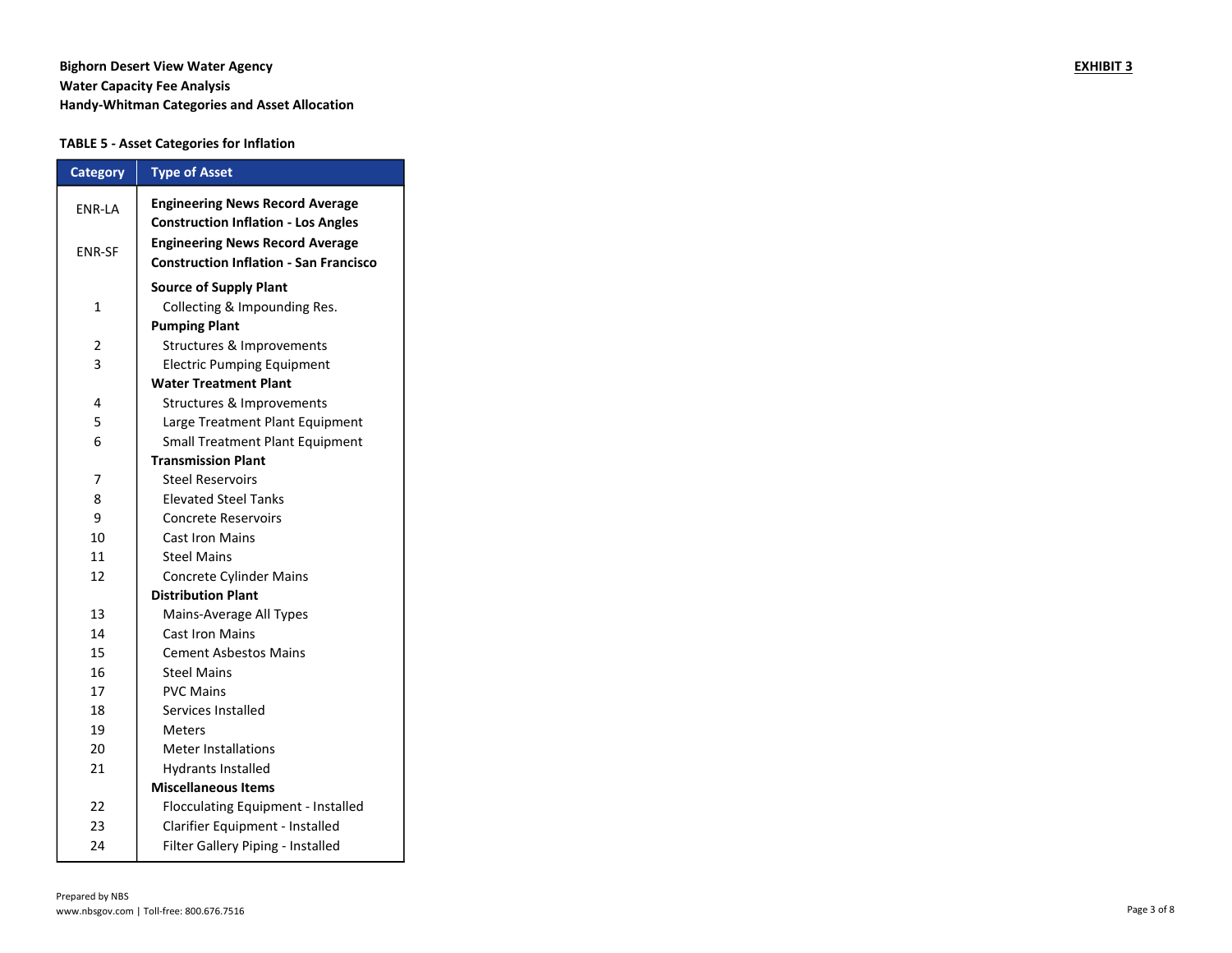# Bighorn Desert View Water Agency **EXHIBIT 3** Water Capacity Fee Analysis Handy-Whitman Categories and Asset Allocation

## TABLE 5 - Asset Categories for Inflation

| <b>Category</b> | <b>Type of Asset</b>                                                                    |
|-----------------|-----------------------------------------------------------------------------------------|
| ENR-LA          | <b>Engineering News Record Average</b><br><b>Construction Inflation - Los Angles</b>    |
| <b>ENR-SF</b>   | <b>Engineering News Record Average</b><br><b>Construction Inflation - San Francisco</b> |
|                 | <b>Source of Supply Plant</b>                                                           |
| $\mathbf{1}$    | Collecting & Impounding Res.                                                            |
|                 | <b>Pumping Plant</b>                                                                    |
| 2               | Structures & Improvements                                                               |
| 3               | <b>Electric Pumping Equipment</b>                                                       |
|                 | <b>Water Treatment Plant</b>                                                            |
| 4               | Structures & Improvements                                                               |
| 5               | Large Treatment Plant Equipment                                                         |
| 6               | Small Treatment Plant Equipment                                                         |
|                 | <b>Transmission Plant</b>                                                               |
| 7               | <b>Steel Reservoirs</b>                                                                 |
| 8               | <b>Elevated Steel Tanks</b>                                                             |
| 9               | <b>Concrete Reservoirs</b>                                                              |
| 10              | <b>Cast Iron Mains</b>                                                                  |
| 11              | <b>Steel Mains</b>                                                                      |
| 12              | Concrete Cylinder Mains                                                                 |
|                 | <b>Distribution Plant</b>                                                               |
| 13              | Mains-Average All Types                                                                 |
| 14              | <b>Cast Iron Mains</b>                                                                  |
| 15              | <b>Cement Asbestos Mains</b>                                                            |
| 16              | <b>Steel Mains</b>                                                                      |
| 17              | <b>PVC Mains</b>                                                                        |
| 18              | Services Installed                                                                      |
| 19              | Meters                                                                                  |
| 20              | <b>Meter Installations</b>                                                              |
| 21              | <b>Hydrants Installed</b>                                                               |
|                 | <b>Miscellaneous Items</b>                                                              |
| 22              | Flocculating Equipment - Installed                                                      |
| 23              | Clarifier Equipment - Installed                                                         |
| 24              | Filter Gallery Piping - Installed                                                       |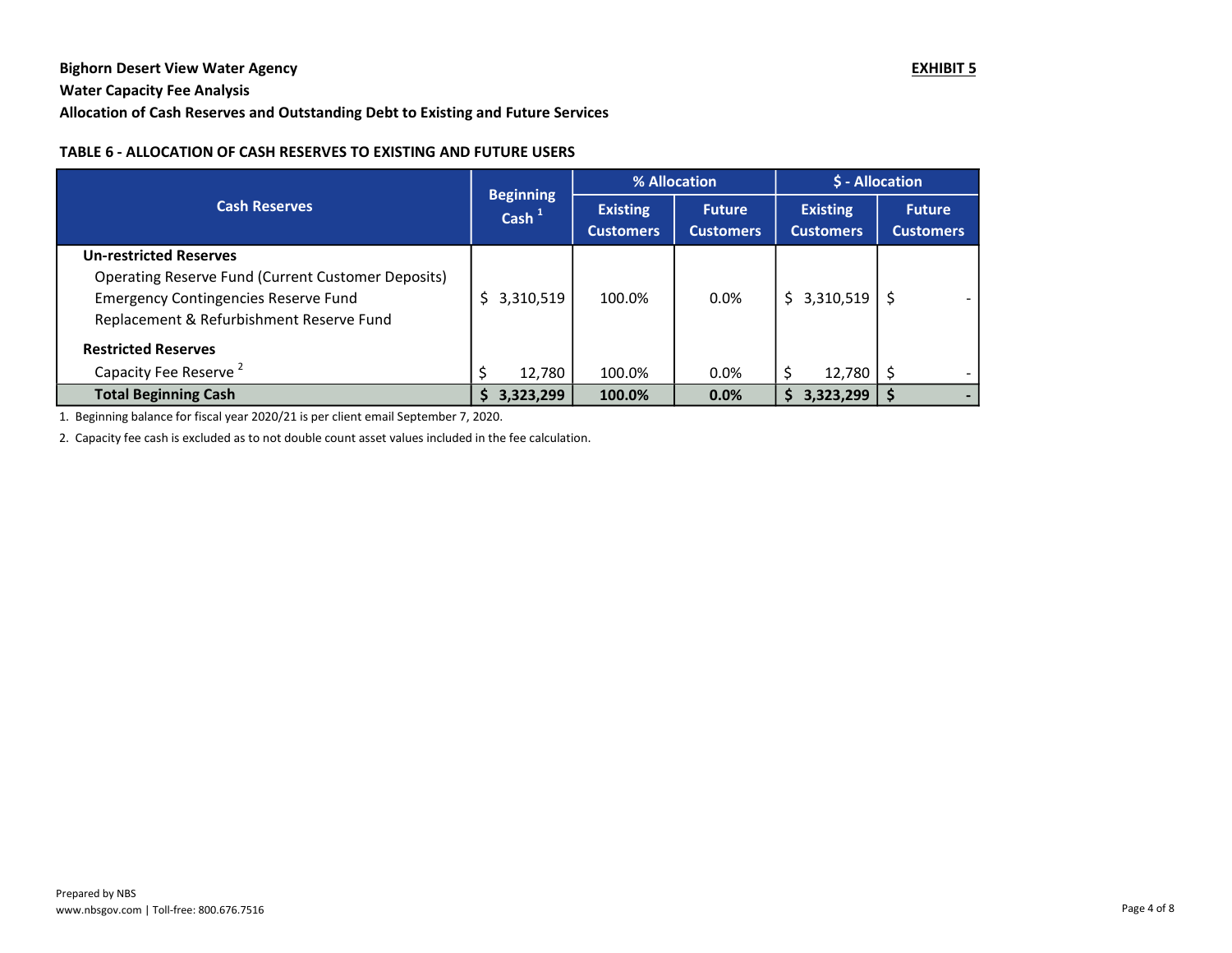# Bighorn Desert View Water Agency **EXHIBIT 5**

# Water Capacity Fee Analysis

# Allocation of Cash Reserves and Outstanding Debt to Existing and Future Services

## TABLE 6 - ALLOCATION OF CASH RESERVES TO EXISTING AND FUTURE USERS

|                                                    | <b>Beginning</b> |                                     | % Allocation                      |                                     | \$ - Allocation                   |  |
|----------------------------------------------------|------------------|-------------------------------------|-----------------------------------|-------------------------------------|-----------------------------------|--|
| <b>Cash Reserves</b>                               | Cash $1$         | <b>Existing</b><br><b>Customers</b> | <b>Future</b><br><b>Customers</b> | <b>Existing</b><br><b>Customers</b> | <b>Future</b><br><b>Customers</b> |  |
| <b>Un-restricted Reserves</b>                      |                  |                                     |                                   |                                     |                                   |  |
| Operating Reserve Fund (Current Customer Deposits) |                  |                                     |                                   |                                     |                                   |  |
| <b>Emergency Contingencies Reserve Fund</b>        | 3,310,519        | 100.0%                              | 0.0%                              | 3,310,519<br>S.                     | S                                 |  |
| Replacement & Refurbishment Reserve Fund           |                  |                                     |                                   |                                     |                                   |  |
| <b>Restricted Reserves</b>                         |                  |                                     |                                   |                                     |                                   |  |
| Capacity Fee Reserve <sup>2</sup>                  | 12,780           | 100.0%                              | $0.0\%$                           | 12,780                              | Ś                                 |  |
| <b>Total Beginning Cash</b>                        | 3,323,299<br>S   | 100.0%                              | 0.0%                              | 3,323,299                           | S                                 |  |

1. Beginning balance for fiscal year 2020/21 is per client email September 7, 2020.

2. Capacity fee cash is excluded as to not double count asset values included in the fee calculation.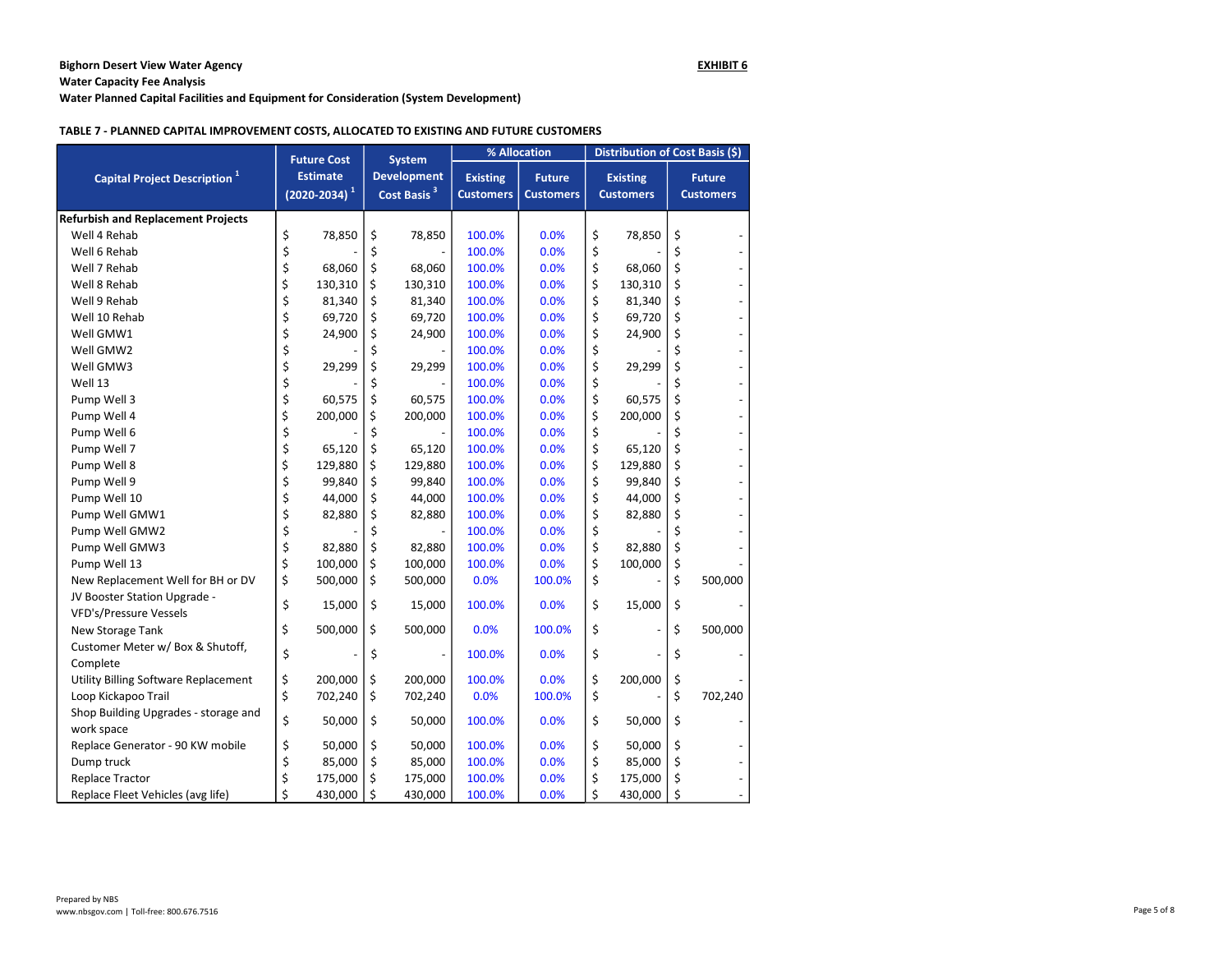Water Capacity Fee Analysis

Water Planned Capital Facilities and Equipment for Consideration (System Development)

#### TABLE 7 - PLANNED CAPITAL IMPROVEMENT COSTS, ALLOCATED TO EXISTING AND FUTURE CUSTOMERS

|                                                        |                                         | <b>Future Cost</b> |                                               | <b>System</b> |                                     | % Allocation                      |    | Distribution of Cost Basis (\$)     |    |                                   |  |
|--------------------------------------------------------|-----------------------------------------|--------------------|-----------------------------------------------|---------------|-------------------------------------|-----------------------------------|----|-------------------------------------|----|-----------------------------------|--|
| Capital Project Description <sup>1</sup>               | <b>Estimate</b><br>$(2020 - 2034)^{-1}$ |                    | <b>Development</b><br>Cost Basis <sup>3</sup> |               | <b>Existing</b><br><b>Customers</b> | <b>Future</b><br><b>Customers</b> |    | <b>Existing</b><br><b>Customers</b> |    | <b>Future</b><br><b>Customers</b> |  |
| <b>Refurbish and Replacement Projects</b>              |                                         |                    |                                               |               |                                     |                                   |    |                                     |    |                                   |  |
| Well 4 Rehab                                           | \$                                      | 78,850             | \$                                            | 78,850        | 100.0%                              | 0.0%                              | \$ | 78,850                              | \$ |                                   |  |
| Well 6 Rehab                                           | \$                                      |                    | \$                                            |               | 100.0%                              | 0.0%                              | \$ |                                     | \$ |                                   |  |
| Well 7 Rehab                                           | \$                                      | 68,060             | \$                                            | 68,060        | 100.0%                              | 0.0%                              | \$ | 68,060                              | \$ |                                   |  |
| Well 8 Rehab                                           | \$                                      | 130,310            | \$                                            | 130,310       | 100.0%                              | 0.0%                              | \$ | 130,310                             | \$ |                                   |  |
| Well 9 Rehab                                           | \$                                      | 81,340             | \$                                            | 81,340        | 100.0%                              | 0.0%                              | \$ | 81,340                              | \$ |                                   |  |
| Well 10 Rehab                                          | \$                                      | 69,720             | \$                                            | 69,720        | 100.0%                              | 0.0%                              | \$ | 69,720                              | \$ |                                   |  |
| Well GMW1                                              | \$                                      | 24,900             | \$                                            | 24,900        | 100.0%                              | 0.0%                              | \$ | 24,900                              | \$ |                                   |  |
| Well GMW2                                              | \$                                      |                    | \$                                            |               | 100.0%                              | 0.0%                              | \$ |                                     | \$ |                                   |  |
| Well GMW3                                              | \$                                      | 29,299             | \$                                            | 29,299        | 100.0%                              | 0.0%                              | \$ | 29,299                              | \$ |                                   |  |
| Well 13                                                | \$                                      |                    | \$                                            |               | 100.0%                              | 0.0%                              | \$ |                                     | \$ |                                   |  |
| Pump Well 3                                            | \$                                      | 60,575             | \$                                            | 60,575        | 100.0%                              | 0.0%                              | \$ | 60,575                              | \$ |                                   |  |
| Pump Well 4                                            | \$                                      | 200,000            | \$                                            | 200,000       | 100.0%                              | 0.0%                              | \$ | 200,000                             | \$ |                                   |  |
| Pump Well 6                                            | \$                                      |                    | \$                                            |               | 100.0%                              | 0.0%                              | \$ |                                     | \$ |                                   |  |
| Pump Well 7                                            | \$                                      | 65,120             | \$                                            | 65,120        | 100.0%                              | 0.0%                              | \$ | 65,120                              | \$ |                                   |  |
| Pump Well 8                                            | \$                                      | 129,880            | \$                                            | 129,880       | 100.0%                              | 0.0%                              | \$ | 129,880                             | \$ |                                   |  |
| Pump Well 9                                            | \$                                      | 99,840             | \$                                            | 99,840        | 100.0%                              | 0.0%                              | \$ | 99,840                              | \$ |                                   |  |
| Pump Well 10                                           | \$                                      | 44,000             | \$                                            | 44,000        | 100.0%                              | 0.0%                              | \$ | 44,000                              | \$ |                                   |  |
| Pump Well GMW1                                         | \$                                      | 82,880             | \$                                            | 82,880        | 100.0%                              | 0.0%                              | \$ | 82,880                              | \$ |                                   |  |
| Pump Well GMW2                                         | \$                                      |                    | \$                                            |               | 100.0%                              | 0.0%                              | \$ |                                     | \$ |                                   |  |
| Pump Well GMW3                                         | \$                                      | 82,880             | \$                                            | 82,880        | 100.0%                              | 0.0%                              | \$ | 82,880                              | \$ |                                   |  |
| Pump Well 13                                           | \$                                      | 100,000            | \$                                            | 100,000       | 100.0%                              | 0.0%                              | \$ | 100,000                             | \$ |                                   |  |
| New Replacement Well for BH or DV                      | \$                                      | 500,000            | \$                                            | 500,000       | 0.0%                                | 100.0%                            | \$ |                                     | \$ | 500,000                           |  |
| JV Booster Station Upgrade -<br>VFD's/Pressure Vessels | \$                                      | 15,000             | \$                                            | 15,000        | 100.0%                              | 0.0%                              | \$ | 15,000                              | \$ |                                   |  |
| New Storage Tank                                       | \$                                      | 500,000            | \$                                            | 500,000       | 0.0%                                | 100.0%                            | \$ |                                     | \$ | 500,000                           |  |
| Customer Meter w/ Box & Shutoff,<br>Complete           | \$                                      |                    | \$                                            |               | 100.0%                              | 0.0%                              | \$ |                                     | \$ |                                   |  |
| Utility Billing Software Replacement                   | \$                                      | 200,000            | \$                                            | 200,000       | 100.0%                              | 0.0%                              | \$ | 200,000                             | \$ |                                   |  |
| Loop Kickapoo Trail                                    | \$                                      | 702,240            | \$                                            | 702,240       | 0.0%                                | 100.0%                            | \$ |                                     | \$ | 702,240                           |  |
| Shop Building Upgrades - storage and<br>work space     | \$                                      | 50,000             | \$                                            | 50,000        | 100.0%                              | 0.0%                              | \$ | 50,000                              | \$ |                                   |  |
| Replace Generator - 90 KW mobile                       | \$                                      | 50,000             | \$                                            | 50,000        | 100.0%                              | 0.0%                              | \$ | 50,000                              | \$ |                                   |  |
| Dump truck                                             | \$                                      | 85,000             | \$                                            | 85,000        | 100.0%                              | 0.0%                              | \$ | 85,000                              | \$ |                                   |  |
| <b>Replace Tractor</b>                                 | \$                                      | 175,000            | \$                                            | 175,000       | 100.0%                              | 0.0%                              | \$ | 175,000                             | \$ |                                   |  |
| Replace Fleet Vehicles (avg life)                      | \$                                      | 430,000            | \$                                            | 430,000       | 100.0%                              | 0.0%                              | \$ | 430,000                             | \$ |                                   |  |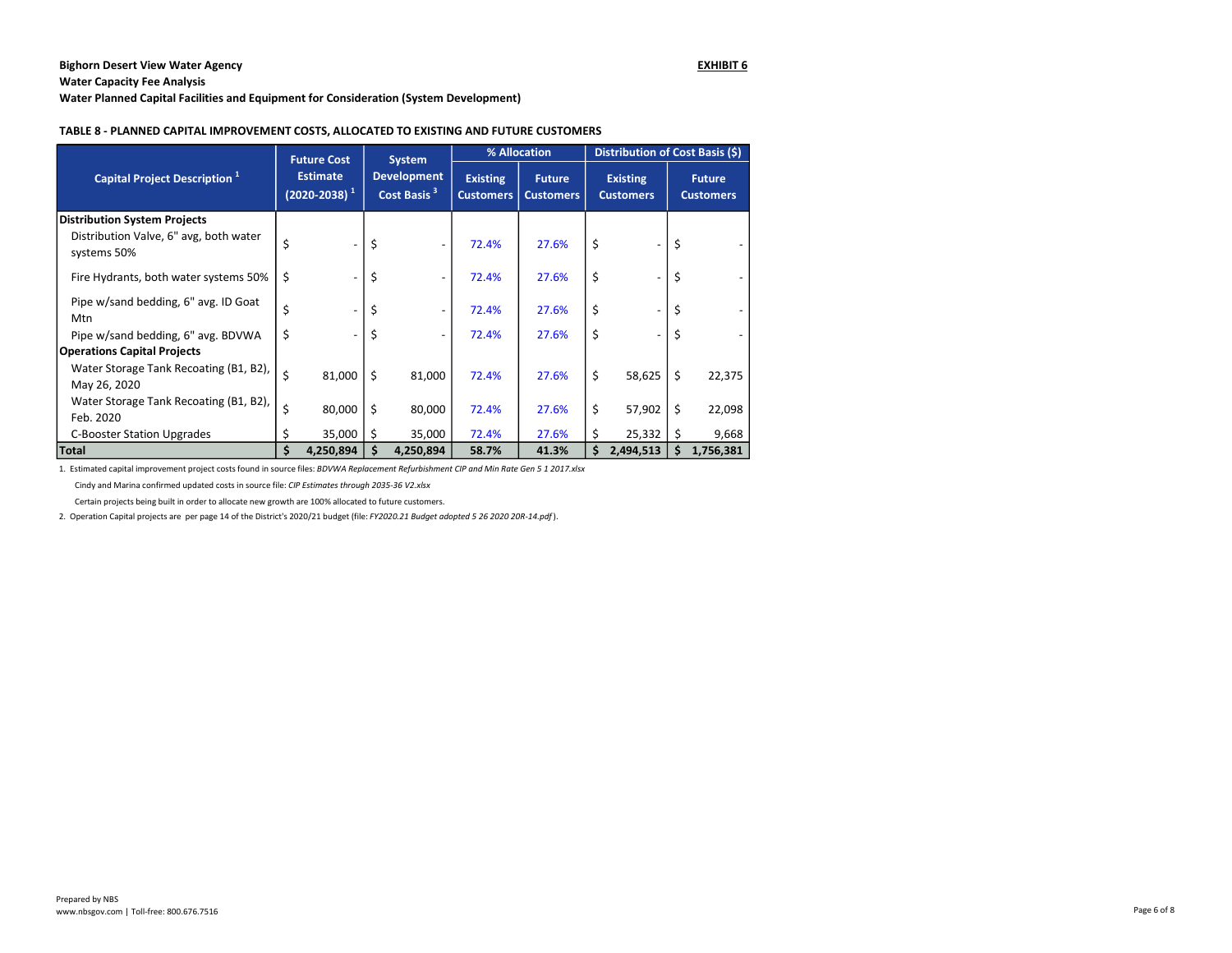Water Capacity Fee Analysis

Water Planned Capital Facilities and Equipment for Consideration (System Development)

#### TABLE 8 - PLANNED CAPITAL IMPROVEMENT COSTS, ALLOCATED TO EXISTING AND FUTURE CUSTOMERS

|                                                                                              | <b>Future Cost</b> |                                         |    |           |       |                                               | <b>System</b> |                                     | % Allocation                      |                                     |  | Distribution of Cost Basis (\$) |                                   |  |  |
|----------------------------------------------------------------------------------------------|--------------------|-----------------------------------------|----|-----------|-------|-----------------------------------------------|---------------|-------------------------------------|-----------------------------------|-------------------------------------|--|---------------------------------|-----------------------------------|--|--|
| Capital Project Description <sup>1</sup>                                                     |                    | <b>Estimate</b><br>$(2020 - 2038)^{-1}$ |    |           |       | <b>Development</b><br>Cost Basis <sup>3</sup> |               | <b>Existing</b><br><b>Customers</b> | <b>Future</b><br><b>Customers</b> | <b>Existing</b><br><b>Customers</b> |  |                                 | <b>Future</b><br><b>Customers</b> |  |  |
| <b>Distribution System Projects</b><br>Distribution Valve, 6" avg, both water<br>systems 50% | Ś                  |                                         | \$ |           | 72.4% | 27.6%                                         | \$            |                                     | Ś                                 |                                     |  |                                 |                                   |  |  |
| Fire Hydrants, both water systems 50%                                                        | \$                 |                                         | \$ |           | 72.4% | 27.6%                                         | \$            |                                     | Ś                                 |                                     |  |                                 |                                   |  |  |
| Pipe w/sand bedding, 6" avg. ID Goat<br>Mtn                                                  |                    |                                         | \$ |           | 72.4% | 27.6%                                         | \$            |                                     |                                   |                                     |  |                                 |                                   |  |  |
| Pipe w/sand bedding, 6" avg. BDVWA                                                           | \$                 |                                         | \$ |           | 72.4% | 27.6%                                         | \$            |                                     | \$                                |                                     |  |                                 |                                   |  |  |
| <b>Operations Capital Projects</b>                                                           |                    |                                         |    |           |       |                                               |               |                                     |                                   |                                     |  |                                 |                                   |  |  |
| Water Storage Tank Recoating (B1, B2),<br>May 26, 2020                                       | \$                 | 81,000                                  | \$ | 81,000    | 72.4% | 27.6%                                         | \$            | 58,625                              | Ś.                                | 22,375                              |  |                                 |                                   |  |  |
| Water Storage Tank Recoating (B1, B2),<br>Feb. 2020                                          | \$                 | 80,000                                  | \$ | 80,000    | 72.4% | 27.6%                                         | \$            | 57,902                              | s                                 | 22,098                              |  |                                 |                                   |  |  |
| <b>C-Booster Station Upgrades</b>                                                            |                    | 35,000                                  |    | 35,000    | 72.4% | 27.6%                                         | Ś.            | 25,332                              |                                   | 9,668                               |  |                                 |                                   |  |  |
| Total                                                                                        |                    | 4,250,894                               | Ś  | 4,250,894 | 58.7% | 41.3%                                         |               | 2,494,513                           |                                   | 1,756,381                           |  |                                 |                                   |  |  |

1. Estimated capital improvement project costs found in source files: BDVWA Replacement Refurbishment CIP and Min Rate Gen 5 1 2017.xlsx

Cindy and Marina confirmed updated costs in source file: CIP Estimates through 2035-36 V2.xlsx

Certain projects being built in order to allocate new growth are 100% allocated to future customers.

2. Operation Capital projects are per page 14 of the District's 2020/21 budget (file: FY2020.21 Budget adopted 5 26 2020 20R-14.pdf).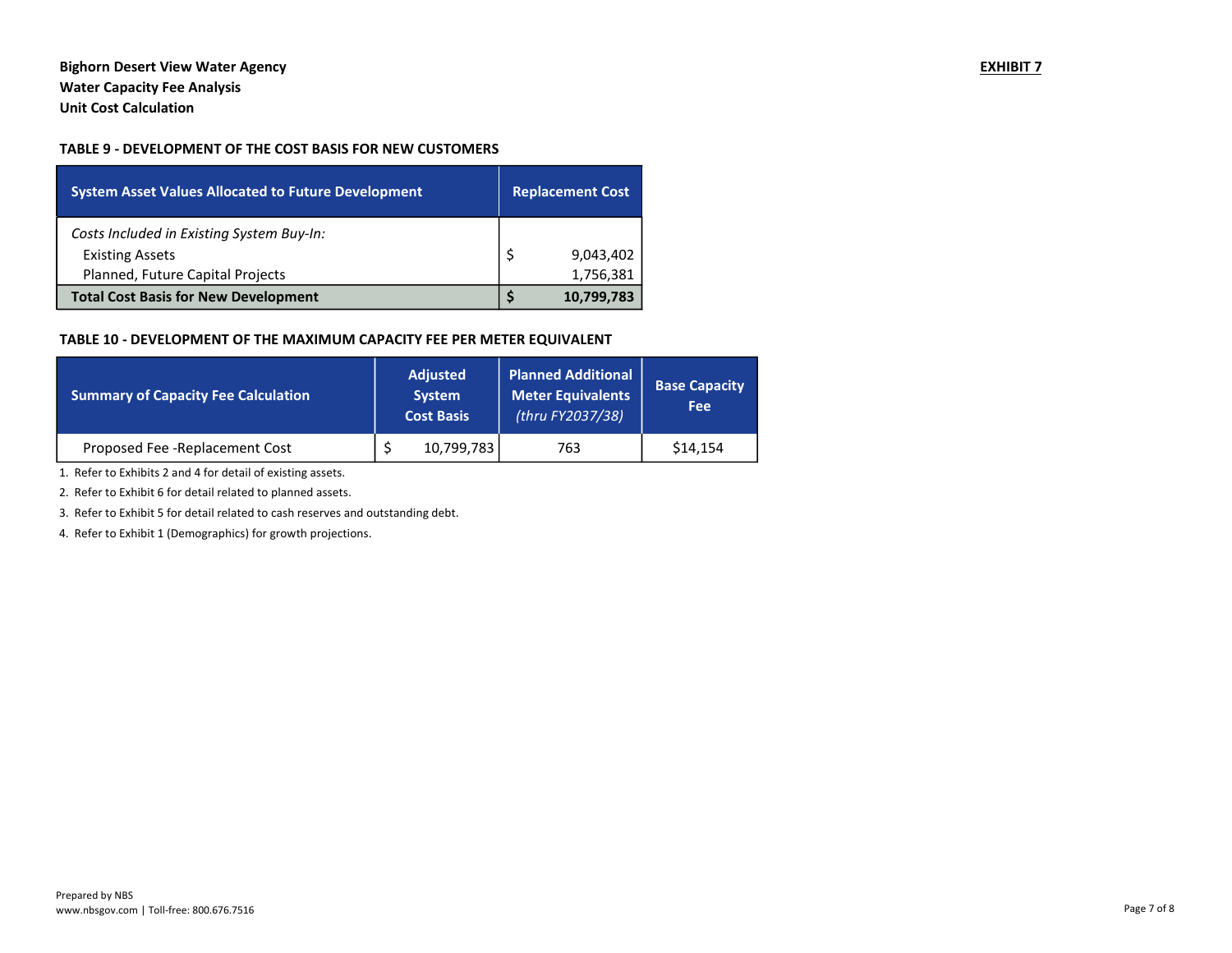# Bighorn Desert View Water Agency **EXHIBIT 7** Water Capacity Fee Analysis Unit Cost Calculation

## TABLE 9 - DEVELOPMENT OF THE COST BASIS FOR NEW CUSTOMERS

| <b>System Asset Values Allocated to Future Development</b> | <b>Replacement Cost</b> |            |  |  |
|------------------------------------------------------------|-------------------------|------------|--|--|
| Costs Included in Existing System Buy-In:                  |                         |            |  |  |
| <b>Existing Assets</b>                                     |                         | 9,043,402  |  |  |
| Planned, Future Capital Projects                           |                         | 1,756,381  |  |  |
| <b>Total Cost Basis for New Development</b>                |                         | 10,799,783 |  |  |

### TABLE 10 - DEVELOPMENT OF THE MAXIMUM CAPACITY FEE PER METER EQUIVALENT

| Summary of Capacity Fee Calculation | <b>Adjusted</b><br><b>System</b><br><b>Cost Basis</b> |            | <b>Planned Additional</b><br><b>Meter Equivalents</b><br>(thru FY2037/38) | <b>Base Capacity</b><br>Fee |
|-------------------------------------|-------------------------------------------------------|------------|---------------------------------------------------------------------------|-----------------------------|
| Proposed Fee - Replacement Cost     |                                                       | 10,799,783 | 763                                                                       | \$14,154                    |

1. Refer to Exhibits 2 and 4 for detail of existing assets.

2. Refer to Exhibit 6 for detail related to planned assets.

3. Refer to Exhibit 5 for detail related to cash reserves and outstanding debt.

4. Refer to Exhibit 1 (Demographics) for growth projections.